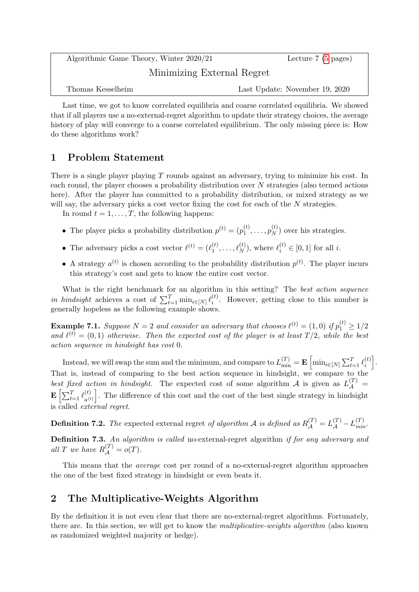| Algorithmic Game Theory, Winter 2020/21 | Lecture $7(5 \text{ pages})$   |
|-----------------------------------------|--------------------------------|
| Minimizing External Regret              |                                |
| Thomas Kesselheim                       | Last Update: November 19, 2020 |

Last time, we got to know correlated equilibria and coarse correlated equilibria. We showed that if all players use a no-external-regret algorithm to update their strategy choices, the average history of play will converge to a coarse correlated equilibrium. The only missing piece is: How do these algorithms work?

# 1 Problem Statement

There is a single player playing T rounds against an adversary, trying to minimize his cost. In each round, the player chooses a probability distribution over N strategies (also termed actions here). After the player has committed to a probability distribution, or mixed strategy as we will say, the adversary picks a cost vector fixing the cost for each of the  $N$  strategies.

In round  $t = 1, \ldots, T$ , the following happens:

- The player picks a probability distribution  $p^{(t)} = (p_1^{(t)})$  $p_1^{(t)},\ldots,p_N^{(t)}$  $\binom{V}{N}$  over his strategies.
- The adversary picks a cost vector  $\ell^{(t)} = (\ell_1^{(t)})$  $\ell_1^{(t)}, \ldots, \ell_N^{(t)}$ , where  $\ell_i^{(t)} \in [0, 1]$  for all *i*.
- A strategy  $a^{(t)}$  is chosen according to the probability distribution  $p^{(t)}$ . The player incurs this strategy's cost and gets to know the entire cost vector.

What is the right benchmark for an algorithm in this setting? The best action sequence *in hindsight* achieves a cost of  $\sum_{t=1}^{T} \min_{i \in [N]} \ell_i^{(t)}$  $i^{(l)}$ . However, getting close to this number is generally hopeless as the following example shows.

**Example 7.1.** Suppose  $N = 2$  and consider an adversary that chooses  $\ell^{(t)} = (1,0)$  if  $p_1^{(t)} \ge 1/2$ and  $\ell^{(t)} = (0, 1)$  otherwise. Then the expected cost of the player is at least  $T/2$ , while the best action sequence in hindsight has cost 0.

Instead, we will swap the sum and the minimum, and compare to  $L_{\min}^{(T)} = \mathbf{E}\left[\min_{i\in[N]}\sum_{t=1}^T \ell_i^{(t)}\right]$  $\begin{bmatrix} i \end{bmatrix}$ . That is, instead of comparing to the best action sequence in hindsight, we compare to the best fixed action in hindsight. The expected cost of some algorithm A is given as  $L_A^{(T)}$  =  $\mathbf{E}\left[\sum_{t=1}^T \ell_{a^{(t)}}^{(t)}\right]$  $\binom{t}{a(t)}$ . The difference of this cost and the cost of the best single strategy in hindsight is called external regret.

**Definition 7.2.** The expected external regret of algorithm A is defined as  $R_{\cal A}^{(T)} = L_{\cal A}^{(T)} - L_{min}^{(T)}$ .

Definition 7.3. An algorithm is called no-external-regret algorithm if for any adversary and all T we have  $R_{\mathcal{A}}^{(T)} = o(T)$ .

This means that the average cost per round of a no-external-regret algorithm approaches the one of the best fixed strategy in hindsight or even beats it.

## 2 The Multiplicative-Weights Algorithm

By the definition it is not even clear that there are no-external-regret algorithms. Fortunately, there are. In this section, we will get to know the multiplicative-weights algorithm (also known as randomized weighted majority or hedge).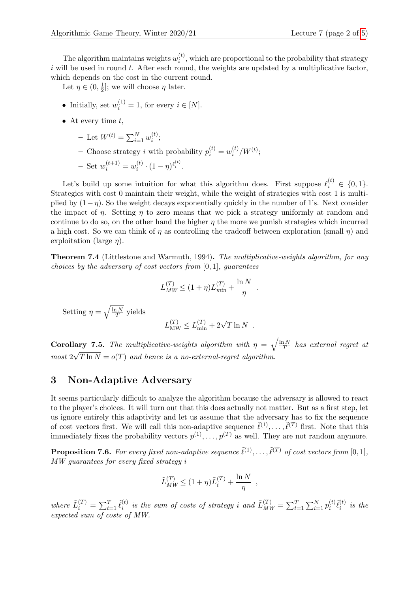The algorithm maintains weights  $w_i^{(t)}$  $i^{(t)}$ , which are proportional to the probability that strategy  $i$  will be used in round  $t$ . After each round, the weights are updated by a multiplicative factor, which depends on the cost in the current round.

Let  $\eta \in (0, \frac{1}{2})$  $\frac{1}{2}$ ; we will choose  $\eta$  later.

- Initially, set  $w_i^{(1)} = 1$ , for every  $i \in [N]$ .
- At every time  $t$ ,
	- Let  $W^{(t)} = \sum_{i=1}^{N} w_i^{(t)}$  $\binom{u}{i}$
	- Choose strategy *i* with probability  $p_i^{(t)} = w_i^{(t)}$  $j_i^{(t)}/W^{(t)}$

$$
- \ \mathrm{Set} \ w_i^{(t+1)} = w_i^{(t)} \cdot (1 - \eta)^{\ell_i^{(t)}}.
$$

Let's build up some intuition for what this algorithm does. First suppose  $\ell_i^{(t)} \in \{0, 1\}.$ Strategies with cost 0 maintain their weight, while the weight of strategies with cost 1 is multiplied by  $(1-\eta)$ . So the weight decays exponentially quickly in the number of 1's. Next consider the impact of  $\eta$ . Setting  $\eta$  to zero means that we pick a strategy uniformly at random and continue to do so, on the other hand the higher  $\eta$  the more we punish strategies which incurred a high cost. So we can think of  $\eta$  as controlling the tradeoff between exploration (small  $\eta$ ) and exploitation (large  $\eta$ ).

Theorem 7.4 (Littlestone and Warmuth, 1994). The multiplicative-weights algorithm, for any choices by the adversary of cost vectors from  $[0, 1]$ , quarantees

$$
L_{MW}^{(T)} \le (1 + \eta) L_{min}^{(T)} + \frac{\ln N}{\eta} .
$$

Setting  $\eta = \sqrt{\frac{\ln N}{T}}$  $\frac{1N}{T}$  yields

$$
L_{\text{MW}}^{(T)} \le L_{\text{min}}^{(T)} + 2\sqrt{T \ln N}
$$
.

**Corollary 7.5.** The multiplicative-weights algorithm with  $\eta = \sqrt{\frac{\ln N}{T}}$  $\frac{1}{T}$  has external regret at most  $2\sqrt{T} \ln N = o(T)$  and hence is a no-external-regret algorithm. √

### 3 Non-Adaptive Adversary

It seems particularly difficult to analyze the algorithm because the adversary is allowed to react to the player's choices. It will turn out that this does actually not matter. But as a first step, let us ignore entirely this adaptivity and let us assume that the adversary has to fix the sequence of cost vectors first. We will call this non-adaptive sequence  $\tilde{\ell}^{(1)}, \ldots, \tilde{\ell}^{(T)}$  first. Note that this immediately fixes the probability vectors  $p^{(1)}, \ldots, p^{(T)}$  as well. They are not random anymore.

<span id="page-1-0"></span>**Proposition 7.6.** For every fixed non-adaptive sequence  $\tilde{\ell}^{(1)}, \ldots, \tilde{\ell}^{(T)}$  of cost vectors from [0, 1], MW guarantees for every fixed strategy i

$$
\tilde{L}_{MW}^{(T)} \leq (1+\eta)\tilde{L}_i^{(T)} + \frac{\ln N}{\eta} ,
$$

where  $\tilde{L}_i^{(T)} = \sum_{t=1}^T \tilde{\ell}_i^{(t)}$  $\tilde{u}_i^{(t)}$  is the sum of costs of strategy i and  $\tilde{L}_{MW}^{(T)} = \sum_{t=1}^{T} \sum_{i=1}^{N} p_i^{(t)}$  $\tilde{\ell}_i^{(t)}\tilde{\ell}_i^{(t)}$  $\sum_{i}^{(t)}$  is the expected sum of costs of MW.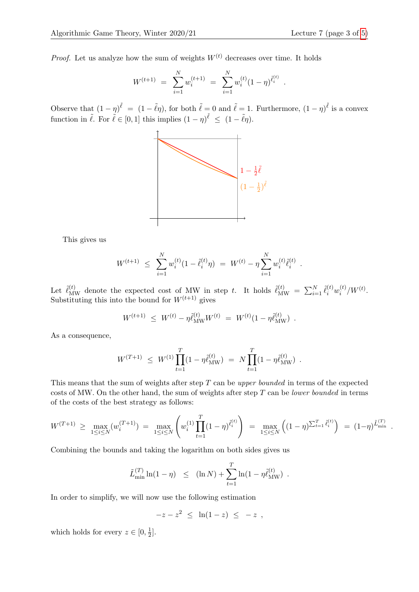*Proof.* Let us analyze how the sum of weights  $W^{(t)}$  decreases over time. It holds

$$
W^{(t+1)} = \sum_{i=1}^{N} w_i^{(t+1)} = \sum_{i=1}^{N} w_i^{(t)} (1 - \eta)^{\tilde{\ell}_i^{(t)}}.
$$

Observe that  $(1 - \eta)^{\tilde{\ell}} = (1 - \tilde{\ell}\eta)$ , for both  $\tilde{\ell} = 0$  and  $\tilde{\ell} = 1$ . Furthermore,  $(1 - \eta)^{\tilde{\ell}}$  is a convex function in  $\tilde{\ell}$ . For  $\tilde{\ell} \in [0, 1]$  this implies  $(1 - \eta)^{\tilde{\ell}} \leq (1 - \tilde{\ell}\eta)$ .



This gives us

$$
W^{(t+1)} \ \leq \ \sum_{i=1}^N w_i^{(t)} (1 - \tilde{\ell}_i^{(t)} \eta) \ = \ W^{(t)} - \eta \sum_{i=1}^N w_i^{(t)} \tilde{\ell}_i^{(t)} \ .
$$

Let  $\tilde{\ell}_{\text{MW}}^{(t)}$  denote the expected cost of MW in step t. It holds  $\tilde{\ell}_{\text{MW}}^{(t)} = \sum_{i=1}^{N} \tilde{\ell}_{i}^{(t)} w_i^{(t)}$  $\int_i^{(t)}/W^{(t)}$ . Substituting this into the bound for  $W^{(t+1)}$  gives

$$
W^{(t+1)} \ \leq \ W^{(t)} - \eta \tilde{\ell}_{\text{MW}}^{(t)} W^{(t)} \ = \ W^{(t)} (1 - \eta \tilde{\ell}_{\text{MW}}^{(t)}) \ .
$$

As a consequence,

$$
W^{(T+1)} \ \leq \ W^{(1)} \prod_{t=1}^T (1 - \eta \tilde{\ell}_{\text{MW}}^{(t)}) \ = \ N \prod_{t=1}^T (1 - \eta \tilde{\ell}_{\text{MW}}^{(t)}) \ .
$$

This means that the sum of weights after step T can be upper bounded in terms of the expected costs of MW. On the other hand, the sum of weights after step  $T$  can be *lower bounded* in terms of the costs of the best strategy as follows:

$$
W^{(T+1)} \geq \max_{1 \leq i \leq N} (w_i^{(T+1)}) = \max_{1 \leq i \leq N} \left( w_i^{(1)} \prod_{t=1}^T (1-\eta)^{\tilde{\ell}_i^{(t)}} \right) = \max_{1 \leq i \leq N} \left( (1-\eta)^{\sum_{t=1}^T \tilde{\ell}_i^{(t)}} \right) = (1-\eta)^{\tilde{L}_{\min}^{(T)}}.
$$

Combining the bounds and taking the logarithm on both sides gives us

$$
\tilde{L}_{\min}^{(T)} \ln(1 - \eta) \leq (\ln N) + \sum_{t=1}^{T} \ln(1 - \eta \tilde{\ell}_{\text{MW}}^{(t)})
$$
.

In order to simplify, we will now use the following estimation

$$
-z - z^2 \leq \ln(1-z) \leq -z ,
$$

which holds for every  $z \in [0, \frac{1}{2}]$  $\frac{1}{2}$ .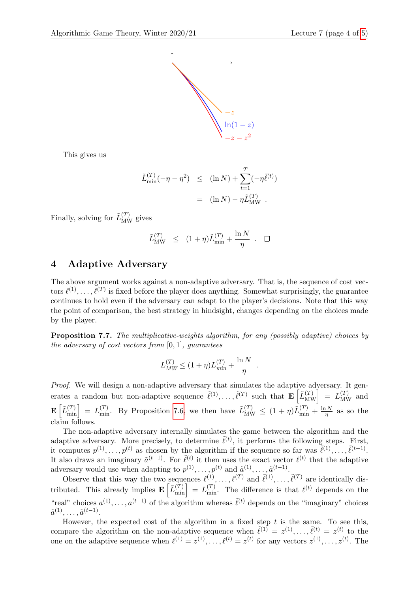

This gives us

$$
\tilde{L}_{\min}^{(T)}(-\eta - \eta^2) \leq (\ln N) + \sum_{t=1}^T (-\eta \tilde{\ell}^{(t)}) \n= (\ln N) - \eta \tilde{L}_{\text{MW}}^{(T)}.
$$

Finally, solving for  $\tilde{L}_{\text{MW}}^{(T)}$  gives

$$
\tilde{L}_{\text{MW}}^{(T)} \leq (1+\eta)\tilde{L}_{\text{min}}^{(T)} + \frac{\ln N}{\eta} . \quad \Box
$$

### 4 Adaptive Adversary

The above argument works against a non-adaptive adversary. That is, the sequence of cost vectors  $\ell^{(1)}, \ldots, \ell^{(T)}$  is fixed before the player does anything. Somewhat surprisingly, the guarantee continues to hold even if the adversary can adapt to the player's decisions. Note that this way the point of comparison, the best strategy in hindsight, changes depending on the choices made by the player.

Proposition 7.7. The multiplicative-weights algorithm, for any (possibly adaptive) choices by the adversary of cost vectors from  $[0, 1]$ , quarantees

$$
L_{MW}^{(T)} \leq (1 + \eta)L_{min}^{(T)} + \frac{\ln N}{\eta} .
$$

Proof. We will design a non-adaptive adversary that simulates the adaptive adversary. It generates a random but non-adaptive sequence  $\tilde{\ell}^{(1)}, \ldots, \tilde{\ell}^{(T)}$  such that  $\mathbf{E}\left[\tilde{L}_{\text{MW}}^{(T)}\right] = L_{\text{MW}}^{(T)}$  and  $\mathbf{E}\left[\tilde{L}_{\min}^{(T)}\right] = L_{\min}^{(T)}$ . By Proposition [7.6,](#page-1-0) we then have  $\tilde{L}_{\text{MW}}^{(T)} \leq (1 + \eta)\tilde{L}_{\min}^{(T)} + \frac{\ln N}{\eta}$  $rac{1N}{\eta}$  as so the claim follows.

The non-adaptive adversary internally simulates the game between the algorithm and the adaptive adversary. More precisely, to determine  $\tilde{\ell}^{(t)}$ , it performs the following steps. First, it computes  $p^{(1)}, \ldots, p^{(t)}$  as chosen by the algorithm if the sequence so far was  $\tilde{\ell}^{(1)}, \ldots, \tilde{\ell}^{(t-1)}$ . It also draws an imaginary  $\tilde{a}^{(t-1)}$ . For  $\tilde{\ell}^{(t)}$  it then uses the exact vector  $\ell^{(t)}$  that the adaptive adversary would use when adapting to  $p^{(1)}, \ldots, p^{(t)}$  and  $\tilde{a}^{(1)}, \ldots, \tilde{a}^{(t-1)}$ .

Observe that this way the two sequences  $\ell^{(1)}, \ldots, \ell^{(T)}$  and  $\tilde{\ell}^{(1)}, \ldots, \tilde{\ell}^{(T)}$  are identically distributed. This already implies  $\mathbf{E}\left[\tilde{L}_{\min}^{(T)}\right] = L_{\min}^{(T)}$ . The difference is that  $\ell^{(t)}$  depends on the "real" choices  $a^{(1)}, \ldots, a^{(t-1)}$  of the algorithm whereas  $\tilde{\ell}^{(t)}$  depends on the "imaginary" choices  $\tilde{a}^{(1)}, \ldots, \tilde{a}^{(t-1)}.$ 

However, the expected cost of the algorithm in a fixed step  $t$  is the same. To see this, compare the algorithm on the non-adaptive sequence when  $\tilde{\ell}^{(1)} = z^{(1)}, \ldots, \tilde{\ell}^{(t)} = z^{(t)}$  to the one on the adaptive sequence when  $\ell^{(1)} = z^{(1)}, \ldots, \ell^{(t)} = z^{(t)}$  for any vectors  $z^{(1)}, \ldots, z^{(t)}$ . The